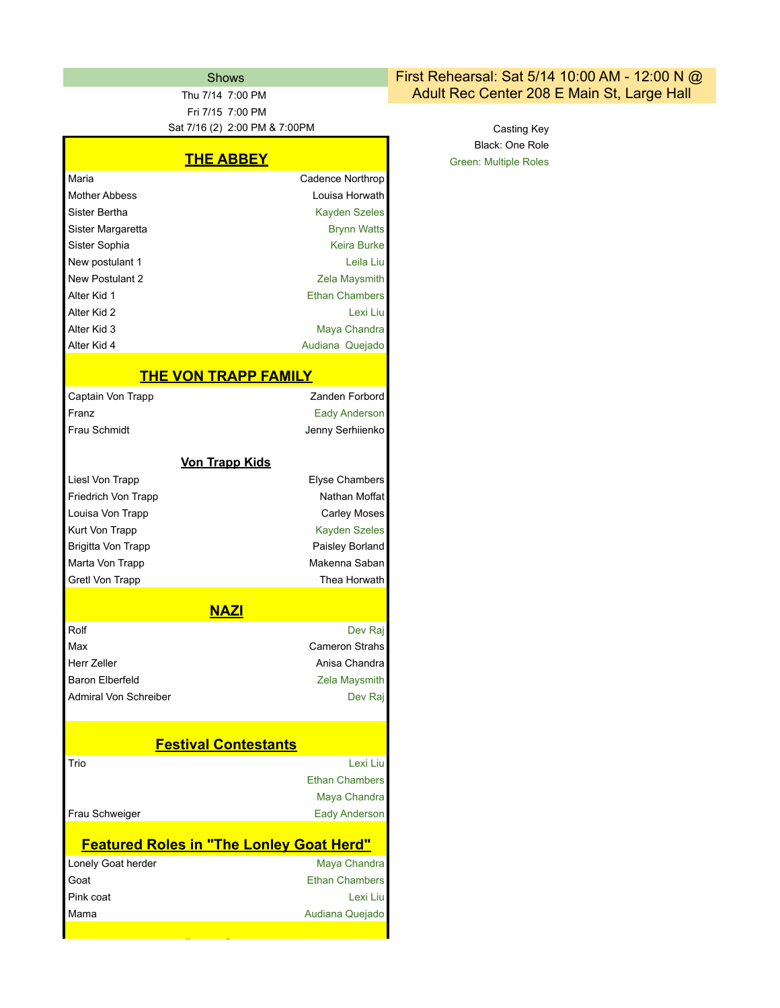Fri 7/15 7:00 PM

## **THE ABBEY**

| Maria                | Cadence Northrop      |
|----------------------|-----------------------|
| <b>Mother Abbess</b> | Louisa Horwath        |
| Sister Bertha        | Kayden Szeles         |
| Sister Margaretta    | <b>Brynn Watts</b>    |
| Sister Sophia        | Keira Burke           |
| New postulant 1      | Leila Liu             |
| New Postulant 2      | Zela Maysmith         |
| Alter Kid 1          | <b>Ethan Chambers</b> |
| Alter Kid 2          | Lexi Liu              |
| Alter Kid 3          | Maya Chandra          |
| Alter Kid 4          | Audiana Quejado       |
|                      |                       |

## **THE VON TRAPP FAMILY**

| <u>IIIL VUN INAFF I AMILI</u>                   |                       |
|-------------------------------------------------|-----------------------|
| Captain Von Trapp                               | Zanden Forbord        |
| Franz                                           | <b>Eady Anderson</b>  |
| Frau Schmidt                                    | Jenny Serhiienko      |
|                                                 |                       |
| <b>Von Trapp Kids</b>                           |                       |
| Liesl Von Trapp                                 | <b>Elyse Chambers</b> |
| Friedrich Von Trapp                             | Nathan Moffat         |
| Louisa Von Trapp                                | <b>Carley Moses</b>   |
| Kurt Von Trapp                                  | <b>Kayden Szeles</b>  |
| Brigitta Von Trapp                              | Paisley Borland       |
| Marta Von Trapp                                 | Makenna Saban         |
| Gretl Von Trapp                                 | Thea Horwath          |
|                                                 |                       |
| <b>NAZI</b>                                     |                       |
| Rolf                                            | Dev Raj               |
| Max                                             | <b>Cameron Strahs</b> |
| Herr Zeller                                     | Anisa Chandra         |
| Baron Elberfeld                                 | Zela Maysmith         |
| Admiral Von Schreiber                           | Dev Raj               |
|                                                 |                       |
| <b>Festival Contestants</b>                     |                       |
| Trio                                            | Lexi Liu              |
|                                                 | <b>Ethan Chambers</b> |
|                                                 | Maya Chandra          |
| Frau Schweiger                                  | <b>Eady Anderson</b>  |
| <b>Featured Roles in "The Lonley Goat Herd"</b> |                       |
| Lonely Goat herder                              | Maya Chandra          |
| Goat                                            | <b>Ethan Chambers</b> |
| Pink coat                                       | Lexi Liu              |
| Mama                                            | Audiana Quejado       |
|                                                 |                       |

Party Guests

## Shows **First Rehearsal: Sat 5/14 10:00 AM - 12:00 N @** Thu 7/14 7:00 PM **Adult Rec Center 208 E Main St, Large Hall**

Sat 7/16 (2) 2:00 PM & 7:00PM Casting Key Black: One Role Green: Multiple Roles